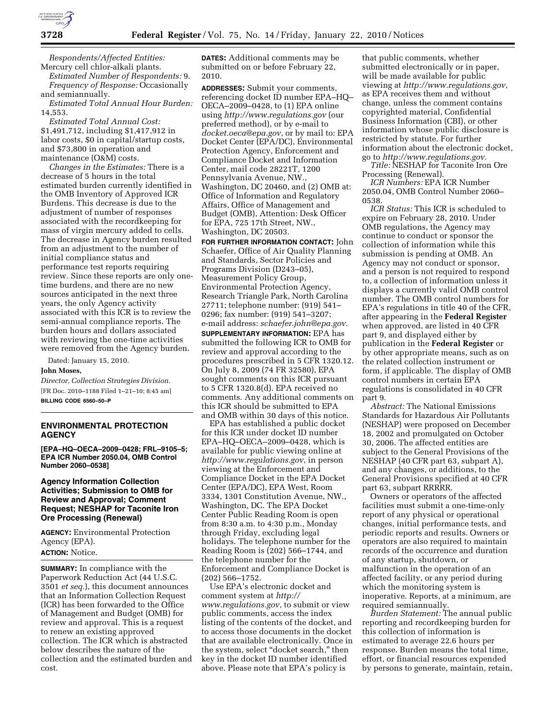

*Respondents/Affected Entities:*  Mercury cell chlor-alkali plants.

*Estimated Number of Respondents:* 9. *Frequency of Response:* Occasionally and semiannually.

*Estimated Total Annual Hour Burden:*  14,553.

*Estimated Total Annual Cost:*  \$1,491,712, including \$1,417,912 in labor costs, \$0 in capital/startup costs, and \$73,800 in operation and maintenance (O&M) costs.

*Changes in the Estimates:* There is a decrease of 5 hours in the total estimated burden currently identified in the OMB Inventory of Approved ICR Burdens. This decrease is due to the adjustment of number of responses associated with the recordkeeping for mass of virgin mercury added to cells. The decrease in Agency burden resulted from an adjustment to the number of initial compliance status and performance test reports requiring review. Since these reports are only onetime burdens, and there are no new sources anticipated in the next three years, the only Agency activity associated with this ICR is to review the semi-annual compliance reports. The burden hours and dollars associated with reviewing the one-time activities were removed from the Agency burden.

Dated: January 15, 2010.

#### **John Moses,**

*Director, Collection Strategies Division.*  [FR Doc. 2010–1188 Filed 1–21–10; 8:45 am] **BILLING CODE 6560–50–P** 

### **ENVIRONMENTAL PROTECTION AGENCY**

**[EPA–HQ–OECA–2009–0428; FRL–9105–5; EPA ICR Number 2050.04, OMB Control Number 2060–0538]** 

# **Agency Information Collection Activities; Submission to OMB for Review and Approval; Comment Request; NESHAP for Taconite Iron Ore Processing (Renewal)**

**AGENCY:** Environmental Protection Agency (EPA). **ACTION:** Notice.

**SUMMARY:** In compliance with the Paperwork Reduction Act (44 U.S.C. 3501 *et seq.*), this document announces that an Information Collection Request (ICR) has been forwarded to the Office of Management and Budget (OMB) for review and approval. This is a request to renew an existing approved collection. The ICR which is abstracted below describes the nature of the collection and the estimated burden and cost.

**DATES:** Additional comments may be submitted on or before February 22, 2010.

**ADDRESSES:** Submit your comments, referencing docket ID number EPA–HQ– OECA–2009–0428, to (1) EPA online using *http://www.regulations.gov* (our preferred method), or by e-mail to *docket.oeca@epa.gov*, or by mail to: EPA Docket Center (EPA/DC), Environmental Protection Agency, Enforcement and Compliance Docket and Information Center, mail code 28221T, 1200 Pennsylvania Avenue, NW., Washington, DC 20460, and (2) OMB at: Office of Information and Regulatory Affairs, Office of Management and Budget (OMB), Attention: Desk Officer for EPA, 725 17th Street, NW., Washington, DC 20503.

**FOR FURTHER INFORMATION CONTACT:** John Schaefer, Office of Air Quality Planning and Standards, Sector Policies and Programs Division (D243–05), Measurement Policy Group, Environmental Protection Agency, Research Triangle Park, North Carolina 27711; telephone number: (919) 541– 0296; fax number: (919) 541–3207; e-mail address: *schaefer.john@epa.gov.*  **SUPPLEMENTARY INFORMATION:** EPA has submitted the following ICR to OMB for review and approval according to the procedures prescribed in 5 CFR 1320.12. On July 8, 2009 (74 FR 32580), EPA sought comments on this ICR pursuant to 5 CFR 1320.8(d). EPA received no comments. Any additional comments on this ICR should be submitted to EPA and OMB within 30 days of this notice.

EPA has established a public docket for this ICR under docket ID number EPA–HQ–OECA–2009–0428, which is available for public viewing online at *http://www.regulations.gov*, in person viewing at the Enforcement and Compliance Docket in the EPA Docket Center (EPA/DC), EPA West, Room 3334, 1301 Constitution Avenue, NW., Washington, DC. The EPA Docket Center Public Reading Room is open from 8:30 a.m. to 4:30 p.m., Monday through Friday, excluding legal holidays. The telephone number for the Reading Room is (202) 566–1744, and the telephone number for the Enforcement and Compliance Docket is (202) 566–1752.

Use EPA's electronic docket and comment system at *http:// www.regulations.gov*, to submit or view public comments, access the index listing of the contents of the docket, and to access those documents in the docket that are available electronically. Once in the system, select "docket search," then key in the docket ID number identified above. Please note that EPA's policy is

that public comments, whether submitted electronically or in paper, will be made available for public viewing at *http://www.regulations.gov*, as EPA receives them and without change, unless the comment contains copyrighted material, Confidential Business Information (CBI), or other information whose public disclosure is restricted by statute. For further information about the electronic docket, go to *http://www.regulations.gov.* 

*Title:* NESHAP for Taconite Iron Ore Processing (Renewal).

*ICR Numbers:* EPA ICR Number 2050.04, OMB Control Number 2060– 0538.

*ICR Status:* This ICR is scheduled to expire on February 28, 2010. Under OMB regulations, the Agency may continue to conduct or sponsor the collection of information while this submission is pending at OMB. An Agency may not conduct or sponsor, and a person is not required to respond to, a collection of information unless it displays a currently valid OMB control number. The OMB control numbers for EPA's regulations in title 40 of the CFR, after appearing in the **Federal Register**  when approved, are listed in 40 CFR part 9, and displayed either by publication in the **Federal Register** or by other appropriate means, such as on the related collection instrument or form, if applicable. The display of OMB control numbers in certain EPA regulations is consolidated in 40 CFR part 9.

*Abstract:* The National Emissions Standards for Hazardous Air Pollutants (NESHAP) were proposed on December 18, 2002 and promulgated on October 30, 2006. The affected entities are subject to the General Provisions of the NESHAP (40 CFR part 63, subpart A), and any changes, or additions, to the General Provisions specified at 40 CFR part 63, subpart RRRRR.

Owners or operators of the affected facilities must submit a one-time-only report of any physical or operational changes, initial performance tests, and periodic reports and results. Owners or operators are also required to maintain records of the occurrence and duration of any startup, shutdown, or malfunction in the operation of an affected facility, or any period during which the monitoring system is inoperative. Reports, at a minimum, are required semiannually.

*Burden Statement:* The annual public reporting and recordkeeping burden for this collection of information is estimated to average 22.6 hours per response. Burden means the total time, effort, or financial resources expended by persons to generate, maintain, retain,